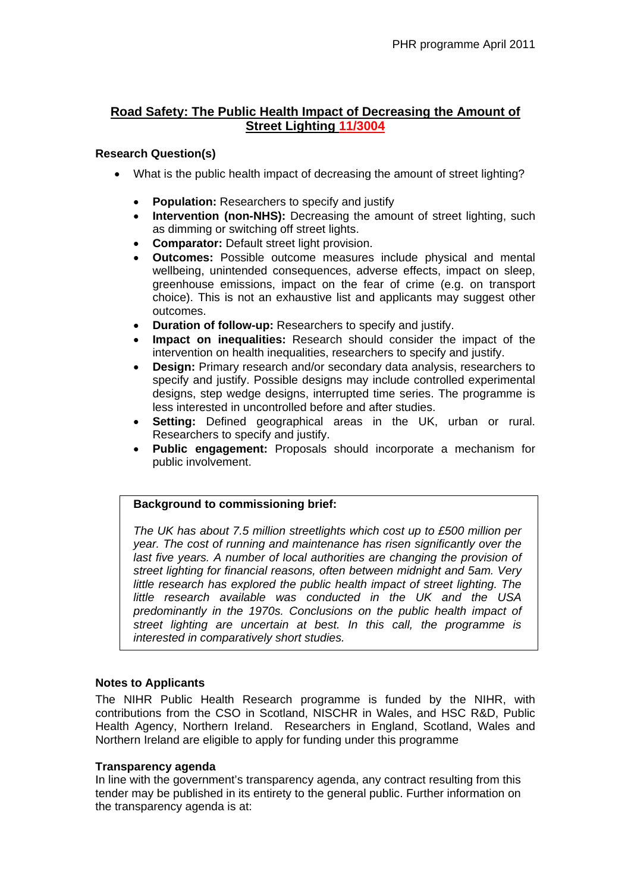# **Road Safety: The Public Health Impact of Decreasing the Amount of Street Lighting 11/3004**

### **Research Question(s)**

- What is the public health impact of decreasing the amount of street lighting?
	- **Population:** Researchers to specify and justify
	- Intervention (non-NHS): Decreasing the amount of street lighting, such as dimming or switching off street lights.
	- **Comparator:** Default street light provision.
	- **Outcomes:** Possible outcome measures include physical and mental wellbeing, unintended consequences, adverse effects, impact on sleep, greenhouse emissions, impact on the fear of crime (e.g. on transport choice). This is not an exhaustive list and applicants may suggest other outcomes.
	- **Duration of follow-up:** Researchers to specify and justify.
	- **Impact on inequalities:** Research should consider the impact of the intervention on health inequalities, researchers to specify and justify.
	- **Design:** Primary research and/or secondary data analysis, researchers to specify and justify. Possible designs may include controlled experimental designs, step wedge designs, interrupted time series. The programme is less interested in uncontrolled before and after studies.
	- **Setting:** Defined geographical areas in the UK, urban or rural. Researchers to specify and justify.
	- **Public engagement:** Proposals should incorporate a mechanism for public involvement.

## **Background to commissioning brief:**

*The UK has about 7.5 million streetlights which cost up to £500 million per year. The cost of running and maintenance has risen significantly over the*  last five years. A number of local authorities are changing the provision of *street lighting for financial reasons, often between midnight and 5am. Very little research has explored the public health impact of street lighting. The little research available was conducted in the UK and the USA predominantly in the 1970s. Conclusions on the public health impact of street lighting are uncertain at best. In this call, the programme is interested in comparatively short studies.* 

### **Notes to Applicants**

The NIHR Public Health Research programme is funded by the NIHR, with contributions from the CSO in Scotland, NISCHR in Wales, and HSC R&D, Public Health Agency, Northern Ireland. Researchers in England, Scotland, Wales and Northern Ireland are eligible to apply for funding under this programme

### **Transparency agenda**

In line with the government's transparency agenda, any contract resulting from this tender may be published in its entirety to the general public. Further information on the transparency agenda is at: